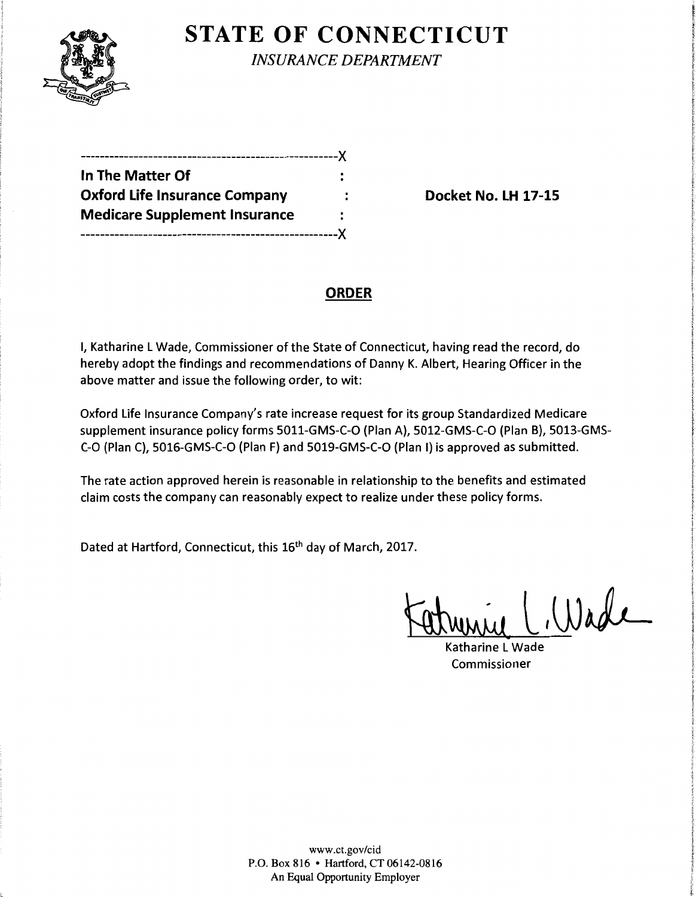

**STATE OF CONNECTICUT** 

*INSURANCE DEPARTMENT* 

| -----------------------------X       |   |
|--------------------------------------|---|
| In The Matter Of                     | ٠ |
| <b>Oxford Life Insurance Company</b> |   |
| <b>Medicare Supplement Insurance</b> | ٠ |
| ----------------------------X        |   |

**Docket No. LH 17-15** 

## **ORDER**

I, Katharine L Wade, Commissioner of the State of Connecticut, having read the record, do hereby adopt the findings and recommendations of Danny K. Albert, Hearing Officer in the above matter and issue the following order, to wit:

Oxford Life Insurance Company's rate increase request for its group Standardized Medicare supplement insurance policy forms 5011-GMS-C-0 (Plan A), 5012-GMS-C-0 (Plan B), 5013-GMS-C-0 (Plan C), 5016-GMS-C-0 (Plan F) and 5019-GMS-C-0 (Plan I) is approved as submitted.

The rate action approved herein is reasonable in relationship to the benefits and estimated claim costs the company can reasonably expect to realize under these policy forms.

Dated at Hartford, Connecticut, this 16<sup>th</sup> day of March, 2017.

Wade

Katharine L Wade Commissioner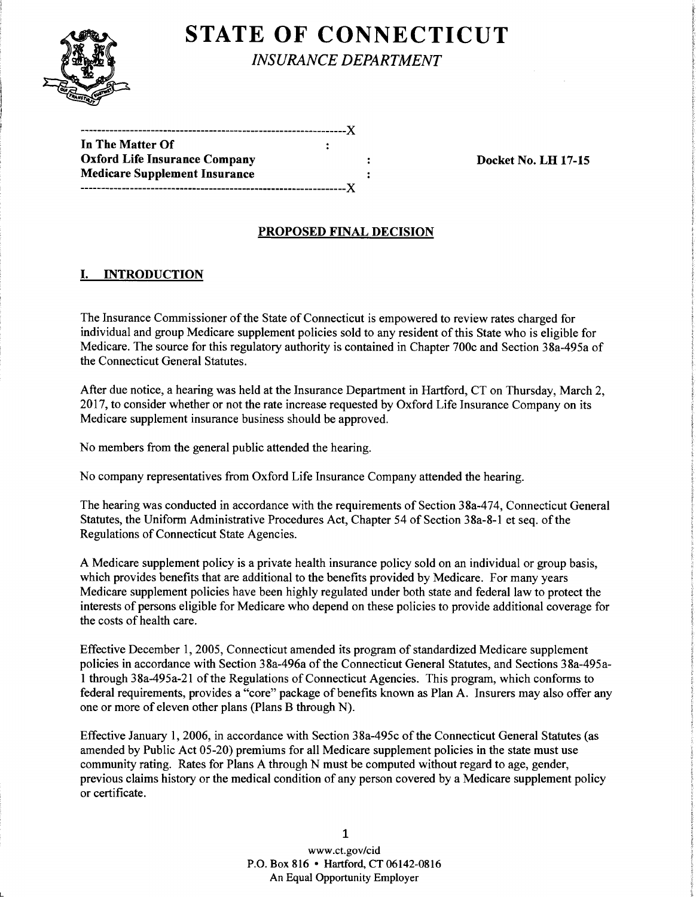

L

# **STATE OF CONNECTICUT**

*INSURANCE DEPARTMENT* 

| In The Matter Of                     |  |
|--------------------------------------|--|
| <b>Oxford Life Insurance Company</b> |  |
| <b>Medicare Supplement Insurance</b> |  |
|                                      |  |

Docket No. LH 17-15

## PROPOSED FINAL DECISION

## I. INTRODUCTION

The Insurance Commissioner of the State of Connecticut is empowered to review rates charged for individual and group Medicare supplement policies sold to any resident of this State who is eligible for Medicare. The source for this regulatory authority is contained in Chapter 700c and Section 38a-495a of the Connecticut General Statutes.

After due notice, a hearing was held at the Insurance Department in Hartford, CT on Thursday, March 2, 2017, to consider whether or not the rate increase requested by Oxford Life Insurance Company on its Medicare supplement insurance business should be approved.

No members from the general public attended the hearing.

No company representatives from Oxford Life Insurance Company attended the hearing.

The hearing was conducted in accordance with the requirements of Section 38a-474, Connecticut General Statutes, the Uniform Administrative Procedures Act, Chapter 54 of Section 38a-8-1 et seq. of the Regulations of Connecticut State Agencies.

A Medicare supplement policy is a private health insurance policy sold on an individual or group basis, which provides benefits that are additional to the benefits provided by Medicare. For many years Medicare supplement policies have been highly regulated under both state and federal law to protect the interests of persons eligible for Medicare who depend on these policies to provide additional coverage for the costs of health care.

Effective December 1, 2005, Connecticut amended its program of standardized Medicare supplement policies in accordance with Section 38a-496a of the Connecticut General Statutes, and Sections 38a-495a-1 through 38a-495a-21 of the Regulations of Connecticut Agencies. This program, which conforms to federal requirements, provides a "core" package of benefits known as Plan A. Insurers may also offer any one or more of eleven other plans (Plans B through N).

Effective January 1, 2006, in accordance with Section 38a-495c of the Connecticut General Statutes (as amended by Public Act 05-20) premiums for all Medicare supplement policies in the state must use community rating. Rates for Plans A through N must be computed without regard to age, gender, previous claims history or the medical condition of any person covered by a Medicare supplement policy or certificate.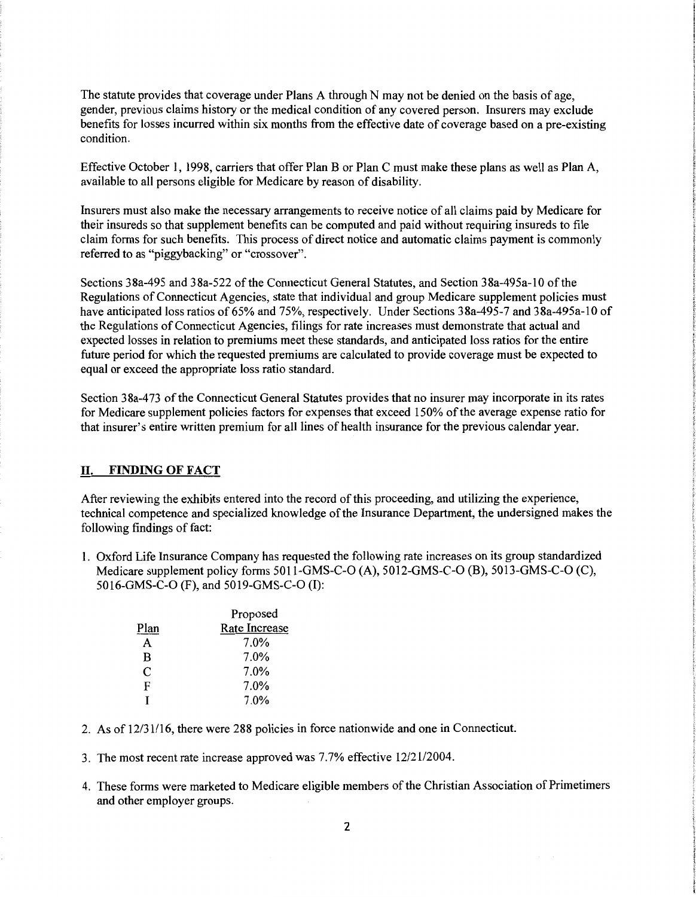The statute provides that coverage under Plans A through N may not be denied on the basis of age, gender, previous claims history or the medical condition of any covered person. Insurers may exclude benefits for losses incurred within six months from the effective date of coverage based on a pre-existing condition.

Effective October I, 1998, carriers that offer Plan B or Plan C must make these plans as well as Plan A, available to all persons eligible for Medicare by reason of disability.

Insurers must also make the necessary arrangements to receive notice of all claims paid by Medicare for their insureds so that supplement benefits can be computed and paid without requiring insureds to file claim forms for such benefits. This process of direct notice and automatic claims payment is commonly referred to as "piggybacking" or "crossover".

Sections 38a-495 and 38a-522 of the Connecticut General Statutes, and Section 38a-495a-10 ofthe Regulations of Connecticut Agencies, state that individual and group Medicare supplement policies must have anticipated loss ratios of 65% and 75%, respectively. Under Sections 38a-495-7 and 38a-495a-10 of the Regulations of Connecticut Agencies, filings for rate increases must demonstrate that actual and expected losses in relation to premiums meet these standards, and anticipated loss ratios for the entire future period for which the requested premiums are calculated to provide coverage must be expected to equal or exceed the appropriate loss ratio standard.

Section 38a-473 of the Connecticut General Statutes provides that no insurer may incorporate in its rates for Medicare supplement policies factors for expenses that exceed 150% of the average expense ratio for that insurer's entire written premium for all lines of health insurance for the previous calendar year.

#### **D.** FINDING OF **FACT**

After reviewing the exhibits entered into the record of this proceeding, and utilizing the experience, technical competence and specialized knowledge of the Insurance Department, the undersigned makes the following findings of fact:

1. Oxford Life Insurance Company has requested the following rate increases on its group standardized Medicare supplement policy forms 5011-GMS-C-0 (A), 5012-GMS-C-0 (B), 5013-GMS-C-0 (C), 5016-GMS-C-0 (F), and 5019-GMS-C-0 (I):

|      | Proposed      |
|------|---------------|
| Plan | Rate Increase |
| A    | 7.0%          |
| B    | 7.0%          |
| C    | 7.0%          |
| F    | $7.0\%$       |
| т    | 7.0%          |

- 2. As of 12/31116, there were 288 policies in force nationwide and one in Connecticut.
- 3. The most recent rate increase approved was 7.7% effective 12/2112004.
- 4. These forms were marketed to Medicare eligible members of the Christian Association of Primetimers and other employer groups.